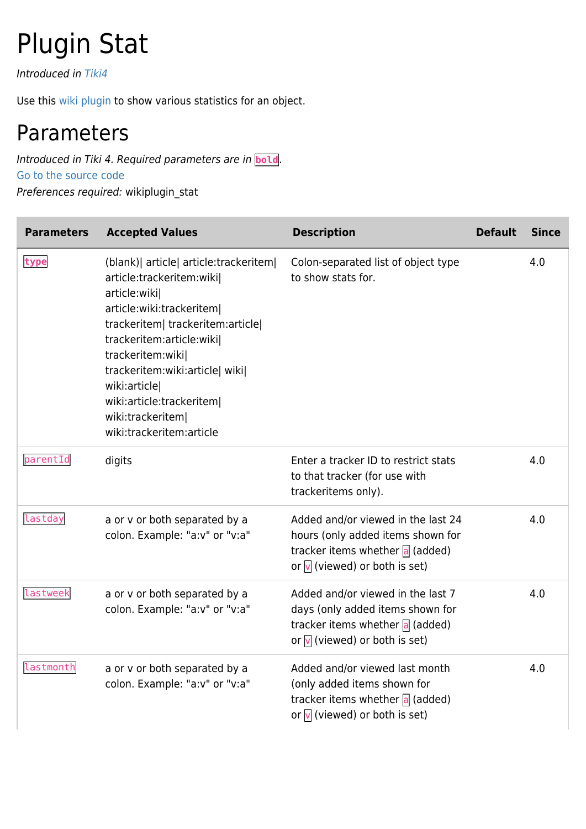## Plugin Stat

Introduced in [Tiki4](https://doc.tiki.org/Tiki4)

Use this [wiki plugin](https://doc.tiki.org/wiki%20plugin) to show various statistics for an object.

## Parameters

Introduced in Tiki 4. Required parameters are in **bold**. [Go to the source code](https://gitlab.com/tikiwiki/tiki/-/blob/master/lib/wiki-plugins/wikiplugin_stat.php) Preferences required: wikiplugin\_stat

| <b>Parameters</b> | <b>Accepted Values</b>                                                                                                                                                                                                                                                                                                                     | <b>Description</b>                                                                                                                                   | <b>Default</b> | <b>Since</b> |
|-------------------|--------------------------------------------------------------------------------------------------------------------------------------------------------------------------------------------------------------------------------------------------------------------------------------------------------------------------------------------|------------------------------------------------------------------------------------------------------------------------------------------------------|----------------|--------------|
| type              | (blank) article article: trackeritem  <br>article:trackeritem:wiki <br>article:wiki <br>article:wiki:trackeritem <br>trackeritem  trackeritem:article <br>trackeritem:article:wiki <br>trackeritem:wiki <br>trackeritem:wiki:article  wiki <br>wiki:article <br>wiki:article:trackeritem <br>wiki:trackeritem <br>wiki:trackeritem:article | Colon-separated list of object type<br>to show stats for.                                                                                            |                | 4.0          |
| parentId          | digits                                                                                                                                                                                                                                                                                                                                     | Enter a tracker ID to restrict stats<br>to that tracker (for use with<br>trackeritems only).                                                         |                | 4.0          |
| lastday           | a or v or both separated by a<br>colon. Example: "a:v" or "v:a"                                                                                                                                                                                                                                                                            | Added and/or viewed in the last 24<br>hours (only added items shown for<br>tracker items whether a (added)<br>or $\sqrt{ }$ (viewed) or both is set) |                | 4.0          |
| lastweek          | a or v or both separated by a<br>colon. Example: "a:v" or "v:a"                                                                                                                                                                                                                                                                            | Added and/or viewed in the last 7<br>days (only added items shown for<br>tracker items whether a (added)<br>or $\sqrt{ }$ (viewed) or both is set)   |                | 4.0          |
| lastmonth         | a or v or both separated by a<br>colon. Example: "a:v" or "v:a"                                                                                                                                                                                                                                                                            | Added and/or viewed last month<br>(only added items shown for<br>tracker items whether a (added)<br>or $\sqrt{ }$ (viewed) or both is set)           |                | 4.0          |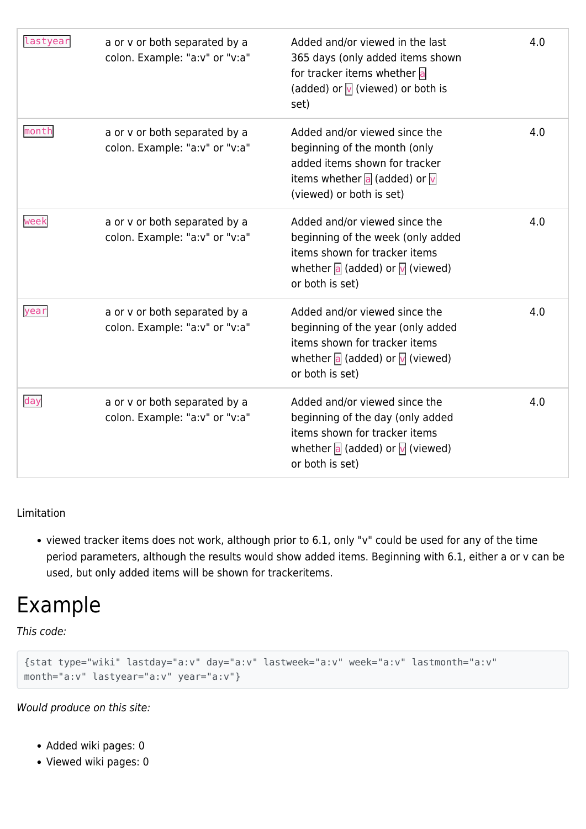| lastyear | a or v or both separated by a<br>colon. Example: "a:v" or "v:a" | Added and/or viewed in the last<br>365 days (only added items shown<br>for tracker items whether a<br>(added) or $\sqrt{ }$ (viewed) or both is<br>set)                             | 4.0 |
|----------|-----------------------------------------------------------------|-------------------------------------------------------------------------------------------------------------------------------------------------------------------------------------|-----|
| month    | a or v or both separated by a<br>colon. Example: "a:v" or "v:a" | Added and/or viewed since the<br>beginning of the month (only<br>added items shown for tracker<br>items whether a (added) or $\sqrt{ }$<br>(viewed) or both is set)                 | 4.0 |
| week     | a or v or both separated by a<br>colon. Example: "a:v" or "v:a" | Added and/or viewed since the<br>beginning of the week (only added<br>items shown for tracker items<br>whether $\overline{a}$ (added) or $\overline{v}$ (viewed)<br>or both is set) | 4.0 |
| year     | a or v or both separated by a<br>colon. Example: "a:v" or "v:a" | Added and/or viewed since the<br>beginning of the year (only added<br>items shown for tracker items<br>whether a (added) or $\sqrt{ }$ (viewed)<br>or both is set)                  | 4.0 |
| day      | a or v or both separated by a<br>colon. Example: "a:v" or "v:a" | Added and/or viewed since the<br>beginning of the day (only added<br>items shown for tracker items<br>whether a (added) or $\sqrt{ }$ (viewed)<br>or both is set)                   | 4.0 |

## Limitation

viewed tracker items does not work, although prior to 6.1, only "v" could be used for any of the time period parameters, although the results would show added items. Beginning with 6.1, either a or v can be used, but only added items will be shown for trackeritems.

## Example

This code:

```
{stat type="wiki" lastday="a:v" day="a:v" lastweek="a:v" week="a:v" lastmonth="a:v"
month="a:v" lastyear="a:v" year="a:v"}
```
Would produce on this site:

- Added wiki pages: 0
- Viewed wiki pages: 0